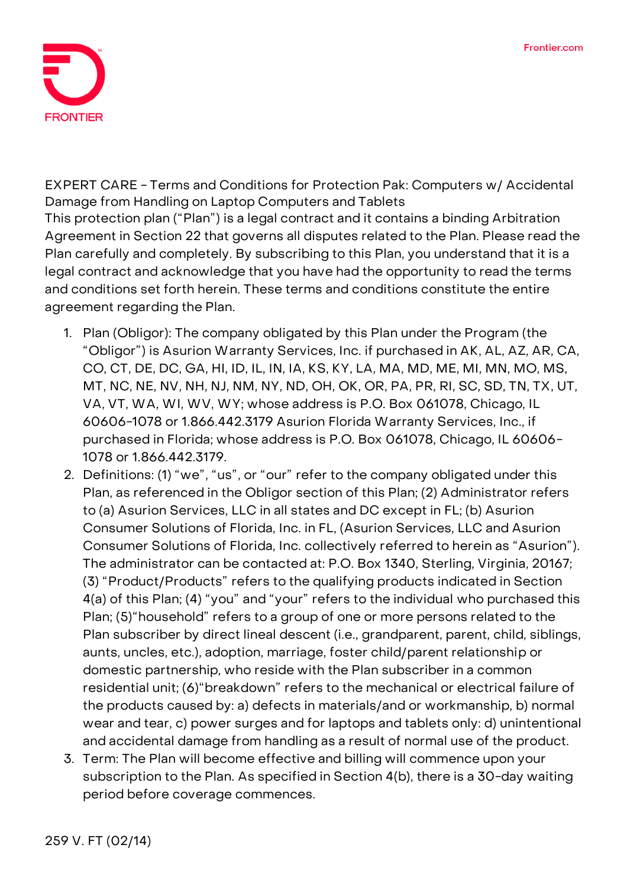

**EXPERT CARE - Terms and Conditions for Protection Pak: Computers w/ Accidental Damage from Handling on Laptop Computers and Tablets** This protection plan ("Plan") is a legal contract and it contains a binding Arbitration Agreement in Section 22 that governs all disputes related to the Plan. Please read the Plan carefully and completely. By subscribing to this Plan, you understand that it is a legal contract and acknowledge that you have had the opportunity to read the terms and conditions set forth herein. These terms and conditions constitute the entire agreement regarding the Plan.

- 1. **Plan (Obligor):** The company obligated by this Plan under the Program (the "Obligor") is Asurion Warranty Services, Inc. if purchased in AK, AL, AZ, AR, CA, CO, CT, DE, DC, GA, HI, ID, IL, IN, IA, KS, KY, LA, MA, MD, ME, MI, MN, MO, MS, MT, NC, NE, NV, NH, NJ, NM, NY, ND, OH, OK, OR, PA, PR, RI, SC, SD, TN, TX, UT, VA, VT, WA, WI, WV, WY; whose address is P.O. Box 061078, Chicago, IL 60606-1078 or 1.866.442.3179 Asurion Florida Warranty Services, Inc., if purchased in Florida; whose address is P.O. Box 061078, Chicago, IL 60606- 1078 or 1.866.442.3179.
- 2. **Definitions:** (1) "we", "us", or "our" refer to the company obligated under this Plan, as referenced in the Obligor section of this Plan; (2) Administrator refers to (a) Asurion Services, LLC in all states and DC except in FL; (b) Asurion Consumer Solutions of Florida, Inc. in FL, (Asurion Services, LLC and Asurion Consumer Solutions of Florida, Inc. collectively referred to herein as "Asurion"). The administrator can be contacted at: P.O. Box 1340, Sterling, Virginia, 20167; (3) "Product/Products" refers to the qualifying products indicated in Section 4(a) of this Plan; (4) "you" and "your" refers to the individual who purchased this Plan; (5)"household" refers to a group of one or more persons related to the Plan subscriber by direct lineal descent (i.e., grandparent, parent, child, siblings, aunts, uncles, etc.), adoption, marriage, foster child/parent relationship or domestic partnership, who reside with the Plan subscriber in a common residential unit; (6)"breakdown" refers to the mechanical or electrical failure of the products caused by: a) defects in materials/and or workmanship, b) normal wear and tear, c) power surges and for laptops and tablets only: d) unintentional and accidental damage from handling as a result of normal use of the product.
- 3. **Term:** The Plan will become effective and billing will commence upon your subscription to the Plan. **As specified in Section 4(b), there is a 30-day waiting period before coverage commences.**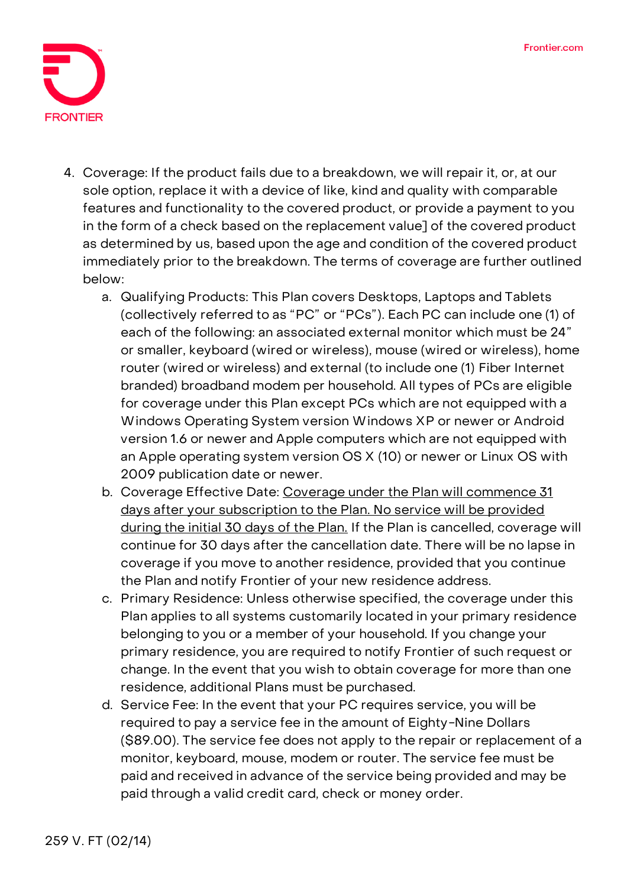

- 4. **Coverage:** If the product fails due to a breakdown, we will repair it, or, at our sole option, replace it with a device of like, kind and quality with comparable features and functionality to the covered product, or provide a payment to you in the form of a check based on the replacement value] of the covered product as determined by us, based upon the age and condition of the covered product immediately prior to the breakdown. The terms of coverage are further outlined below:
	- a. **Qualifying Products:** This Plan covers Desktops, Laptops and Tablets (collectively referred to as "PC" or "PCs"). Each PC can include one (1) of each of the following: an associated external monitor which must be 24" or smaller, keyboard (wired or wireless), mouse (wired or wireless), home router (wired or wireless) and external (to include one (1) Fiber Internet branded) broadband modem per household. All types of PCs are eligible for coverage under this Plan except PCs which are not equipped with a Windows Operating System version Windows XP or newer or Android version 1.6 or newer and Apple computers which are not equipped with an Apple operating system version OS X (10) or newer or Linux OS with 2009 publication date or newer.
	- b. **Coverage Effective Date: Coverage under the Plan will commence 31 days after your subscription to the Plan. No service will be provided during the initial 30 days of the Plan. If the Plan is cancelled, coverage will continue for 30 days after the cancellation date.** There will be no lapse in coverage if you move to another residence, provided that you continue the Plan and notify Frontier of your new residence address.
	- c. **Primary Residence:** Unless otherwise specified, the coverage under this Plan applies to all systems customarily located in your primary residence belonging to you or a member of your household. If you change your primary residence, you are required to notify Frontier of such request or change. In the event that you wish to obtain coverage for more than one residence, additional Plans must be purchased.
	- d. **Service Fee: In the event that your PC requires service, you will be required to pay a service fee in the amount of Eighty-Nine Dollars (\$89.00).** The service fee does not apply to the repair or replacement of a monitor, keyboard, mouse, modem or router. The service fee must be paid and received in advance of the service being provided and may be paid through a valid credit card, check or money order.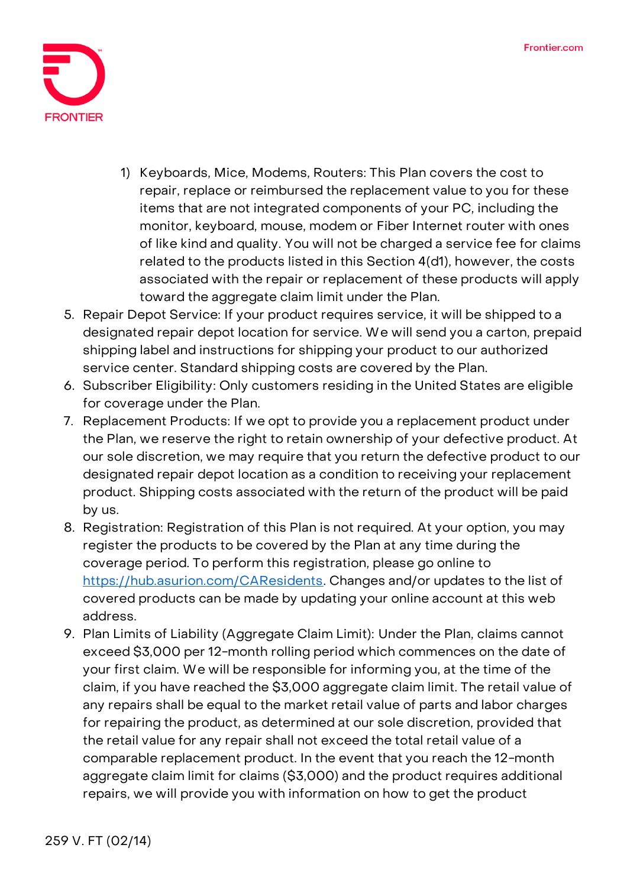

- 1) Keyboards, Mice, Modems, Routers: This Plan covers the cost to repair, replace or reimbursed the replacement value to you for these items that are not integrated components of your PC, including the monitor, keyboard, mouse, modem or Fiber Internet router with ones of like kind and quality. You will not be charged a service fee for claims related to the products listed in this Section 4(d1), however, the costs associated with the repair or replacement of these products will apply toward the aggregate claim limit under the Plan.
- 5. **Repair Depot Service:** If your product requires service, it will be shipped to a designated repair depot location for service. We will send you a carton, prepaid shipping label and instructions for shipping your product to our authorized service center. Standard shipping costs are covered by the Plan.
- 6. **Subscriber Eligibility:** Only customers residing in the United States are eligible for coverage under the Plan.
- 7. **Replacement Products:** If we opt to provide you a replacement product under the Plan, we reserve the right to retain ownership of your defective product. At our sole discretion, we may require that you return the defective product to our designated repair depot location as a condition to receiving your replacement product. Shipping costs associated with the return of the product will be paid by us.
- 8. **Registration:** Registration of this Plan is not required. At your option, you may register the products to be covered by the Plan at any time during the coverage period. To perform this registration, please go online to [https://hub.asurion.com/CAResidents.](https://hub.asurion.com/CAResidents) Changes and/or updates to the list of covered products can be made by updating your online account at this web address.
- 9. **Plan Limits of Liability (Aggregate Claim Limit):** Under the Plan, claims cannot exceed \$3,000 per 12-month rolling period which commences on the date of your first claim. We will be responsible for informing you, at the time of the claim, if you have reached the \$3,000 aggregate claim limit. The retail value of any repairs shall be equal to the market retail value of parts and labor charges for repairing the product, as determined at our sole discretion, provided that the retail value for any repair shall not exceed the total retail value of a comparable replacement product. In the event that you reach the 12-month aggregate claim limit for claims (\$3,000) and the product requires additional repairs, we will provide you with information on how to get the product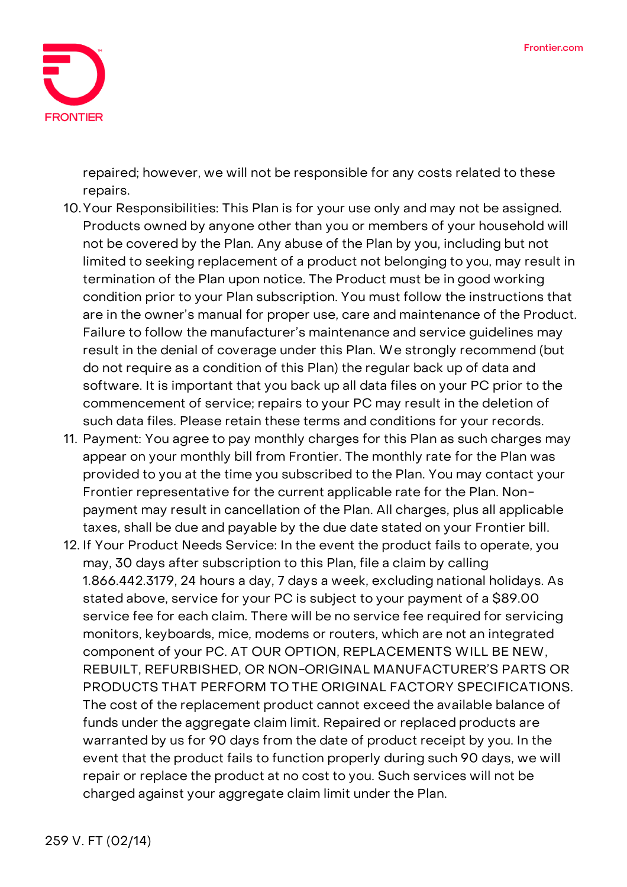

repaired; however, we will not be responsible for any costs related to these repairs.

- 10.**Your Responsibilities:** This Plan is for your use only and may not be assigned. Products owned by anyone other than you or members of your household will not be covered by the Plan. Any abuse of the Plan by you, including but not limited to seeking replacement of a product not belonging to you, may result in termination of the Plan upon notice. The Product must be in good working condition prior to your Plan subscription. You must follow the instructions that are in the owner's manual for proper use, care and maintenance of the Product. Failure to follow the manufacturer's maintenance and service guidelines may result in the denial of coverage under this Plan. We strongly recommend (but do not require as a condition of this Plan) the regular back up of data and software. It is important that you back up all data files on your PC prior to the commencement of service; repairs to your PC may result in the deletion of such data files. Please retain these terms and conditions for your records.
- 11. **Payment:** You agree to pay monthly charges for this Plan as such charges may appear on your monthly bill from Frontier. The monthly rate for the Plan was provided to you at the time you subscribed to the Plan. You may contact your Frontier representative for the current applicable rate for the Plan. Nonpayment may result in cancellation of the Plan. All charges, plus all applicable taxes, shall be due and payable by the due date stated on your Frontier bill.
- 12. **If Your Product Needs Service:** In the event the product fails to operate, you may, 30 days after subscription to this Plan, file a claim by calling 1.866.442.3179, 24 hours a day, 7 days a week, excluding national holidays. As stated above, service for your PC is subject to your payment of a \$89.00 service fee for each claim. There will be no service fee required for servicing monitors, keyboards, mice, modems or routers, which are not an integrated component of your PC. **AT OUR OPTION, REPLACEMENTS WILL BE NEW, REBUILT, REFURBISHED, OR NON-ORIGINAL MANUFACTURER'S PARTS OR PRODUCTS THAT PERFORM TO THE ORIGINAL FACTORY SPECIFICATIONS.**  The cost of the replacement product cannot exceed the available balance of funds under the aggregate claim limit. Repaired or replaced products are warranted by us for 90 days from the date of product receipt by you. In the event that the product fails to function properly during such 90 days, we will repair or replace the product at no cost to you. Such services will not be charged against your aggregate claim limit under the Plan.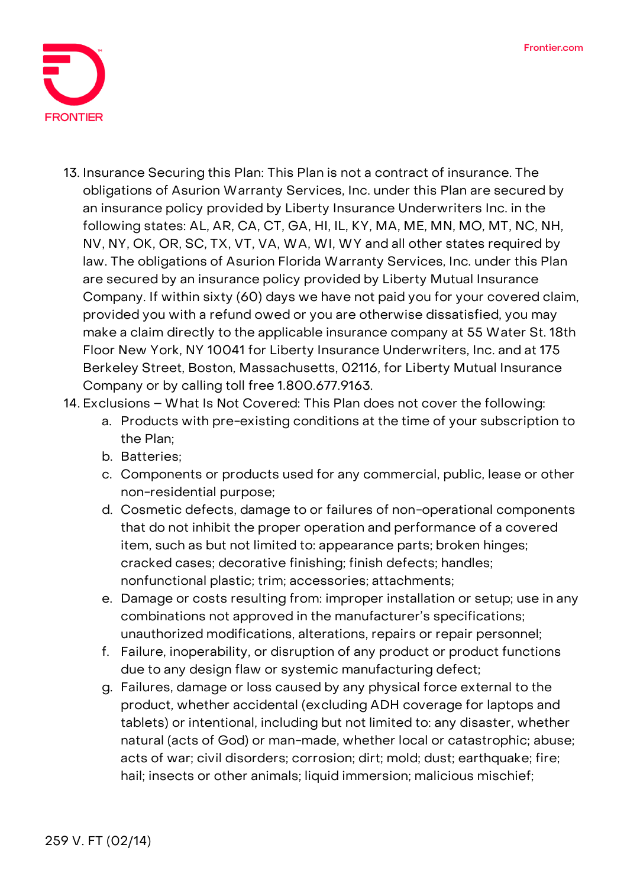

- 13. **Insurance Securing this Plan:** This Plan is not a contract of insurance. The obligations of Asurion Warranty Services, Inc. under this Plan are secured by an insurance policy provided by Liberty Insurance Underwriters Inc. in the following states: AL, AR, CA, CT, GA, HI, IL, KY, MA, ME, MN, MO, MT, NC, NH, NV, NY, OK, OR, SC, TX, VT, VA, WA, WI, WY and all other states required by law. The obligations of Asurion Florida Warranty Services, Inc. under this Plan are secured by an insurance policy provided by Liberty Mutual Insurance Company. If within sixty (60) days we have not paid you for your covered claim, provided you with a refund owed or you are otherwise dissatisfied, you may make a claim directly to the applicable insurance company at 55 Water St. 18th Floor New York, NY 10041 for Liberty Insurance Underwriters, Inc. and at 175 Berkeley Street, Boston, Massachusetts, 02116, for Liberty Mutual Insurance Company or by calling toll free 1.800.677.9163.
- 14. **Exclusions – What Is Not Covered:** This Plan does not cover the following:
	- a. Products with pre-existing conditions at the time of your subscription to the Plan;
	- b. Batteries;
	- c. Components or products used for any commercial, public, lease or other non-residential purpose;
	- d. Cosmetic defects, damage to or failures of non-operational components that do not inhibit the proper operation and performance of a covered item, such as but not limited to: appearance parts; broken hinges; cracked cases; decorative finishing; finish defects; handles; nonfunctional plastic; trim; accessories; attachments;
	- e. Damage or costs resulting from: improper installation or setup; use in any combinations not approved in the manufacturer's specifications; unauthorized modifications, alterations, repairs or repair personnel;
	- f. Failure, inoperability, or disruption of any product or product functions due to any design flaw or systemic manufacturing defect;
	- g. Failures, damage or loss caused by any physical force external to the product, whether accidental (excluding ADH coverage for laptops and tablets) or intentional, including but not limited to: any disaster, whether natural (acts of God) or man-made, whether local or catastrophic; abuse; acts of war; civil disorders; corrosion; dirt; mold; dust; earthquake; fire; hail; insects or other animals; liquid immersion; malicious mischief;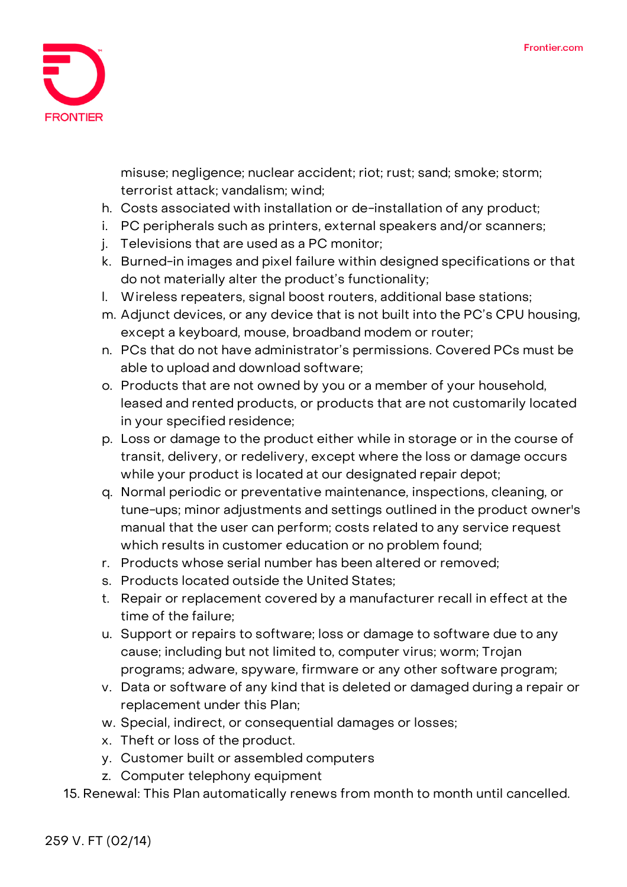

misuse; negligence; nuclear accident; riot; rust; sand; smoke; storm; terrorist attack; vandalism; wind;

- h. Costs associated with installation or de-installation of any product;
- i. PC peripherals such as printers, external speakers and/or scanners;
- j. Televisions that are used as a PC monitor;
- k. Burned-in images and pixel failure within designed specifications or that do not materially alter the product's functionality;
- l. Wireless repeaters, signal boost routers, additional base stations;
- m. Adjunct devices, or any device that is not built into the PC's CPU housing, except a keyboard, mouse, broadband modem or router;
- n. PCs that do not have administrator's permissions. Covered PCs must be able to upload and download software;
- o. Products that are not owned by you or a member of your household, leased and rented products, or products that are not customarily located in your specified residence;
- p. Loss or damage to the product either while in storage or in the course of transit, delivery, or redelivery, except where the loss or damage occurs while your product is located at our designated repair depot;
- q. Normal periodic or preventative maintenance, inspections, cleaning, or tune-ups; minor adjustments and settings outlined in the product owner's manual that the user can perform; costs related to any service request which results in customer education or no problem found;
- r. Products whose serial number has been altered or removed;
- s. Products located outside the United States;
- t. Repair or replacement covered by a manufacturer recall in effect at the time of the failure;
- u. Support or repairs to software; loss or damage to software due to any cause; including but not limited to, computer virus; worm; Trojan programs; adware, spyware, firmware or any other software program;
- v. Data or software of any kind that is deleted or damaged during a repair or replacement under this Plan;
- w. Special, indirect, or consequential damages or losses;
- x. Theft or loss of the product.
- y. Customer built or assembled computers
- z. Computer telephony equipment

15. **Renewal:** This Plan automatically renews from month to month until cancelled.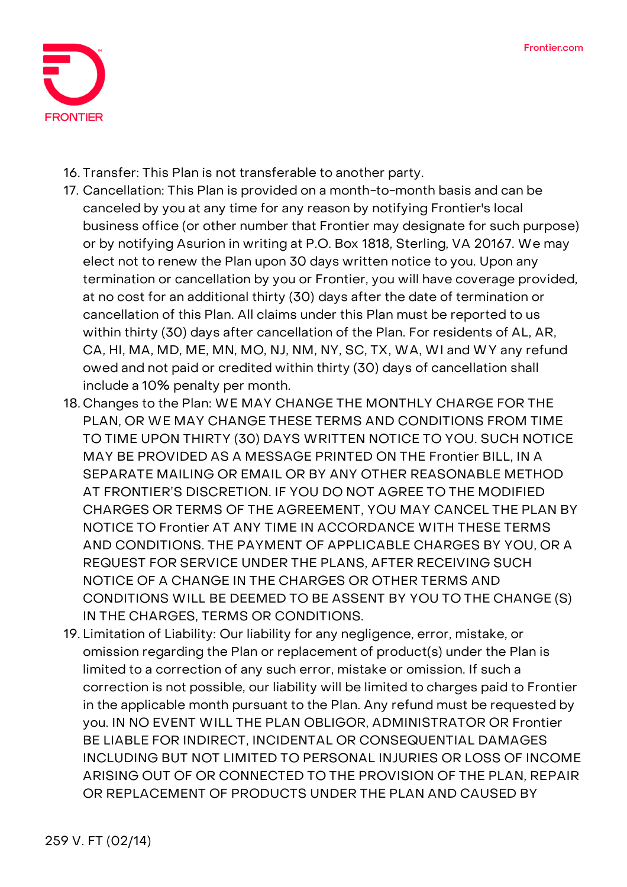

16. **Transfer:** This Plan is not transferable to another party.

- 17. **Cancellation:** This Plan is provided on a month-to-month basis and can be canceled by you at any time for any reason by notifying Frontier's local business office (or other number that Frontier may designate for such purpose) or by notifying Asurion in writing at P.O. Box 1818, Sterling, VA 20167. We may elect not to renew the Plan upon 30 days written notice to you. Upon any termination or cancellation by you or Frontier, you will have coverage provided, at no cost for an additional thirty (30) days after the date of termination or cancellation of this Plan. All claims under this Plan must be reported to us within thirty (30) days after cancellation of the Plan. For residents of AL, AR, CA, HI, MA, MD, ME, MN, MO, NJ, NM, NY, SC, TX, WA, WI and WY any refund owed and not paid or credited within thirty (30) days of cancellation shall include a 10% penalty per month.
- 18. **Changes to the Plan:** WE MAY CHANGE THE MONTHLY CHARGE FOR THE PLAN, OR WE MAY CHANGE THESE TERMS AND CONDITIONS FROM TIME TO TIME UPON THIRTY (30) DAYS WRITTEN NOTICE TO YOU. SUCH NOTICE MAY BE PROVIDED AS A MESSAGE PRINTED ON THE Frontier BILL, IN A SEPARATE MAILING OR EMAIL OR BY ANY OTHER REASONABLE METHOD AT FRONTIER'S DISCRETION. IF YOU DO NOT AGREE TO THE MODIFIED CHARGES OR TERMS OF THE AGREEMENT, YOU MAY CANCEL THE PLAN BY NOTICE TO Frontier AT ANY TIME IN ACCORDANCE WITH THESE TERMS AND CONDITIONS. THE PAYMENT OF APPLICABLE CHARGES BY YOU, OR A REQUEST FOR SERVICE UNDER THE PLANS, AFTER RECEIVING SUCH NOTICE OF A CHANGE IN THE CHARGES OR OTHER TERMS AND CONDITIONS WILL BE DEEMED TO BE ASSENT BY YOU TO THE CHANGE (S) IN THE CHARGES, TERMS OR CONDITIONS.
- 19. **Limitation of Liability:** Our liability for any negligence, error, mistake, or omission regarding the Plan or replacement of product(s) under the Plan is limited to a correction of any such error, mistake or omission. If such a correction is not possible, our liability will be limited to charges paid to Frontier in the applicable month pursuant to the Plan. Any refund must be requested by you. IN NO EVENT WILL THE PLAN OBLIGOR, ADMINISTRATOR OR Frontier BE LIABLE FOR INDIRECT, INCIDENTAL OR CONSEQUENTIAL DAMAGES INCLUDING BUT NOT LIMITED TO PERSONAL INJURIES OR LOSS OF INCOME ARISING OUT OF OR CONNECTED TO THE PROVISION OF THE PLAN, REPAIR OR REPLACEMENT OF PRODUCTS UNDER THE PLAN AND CAUSED BY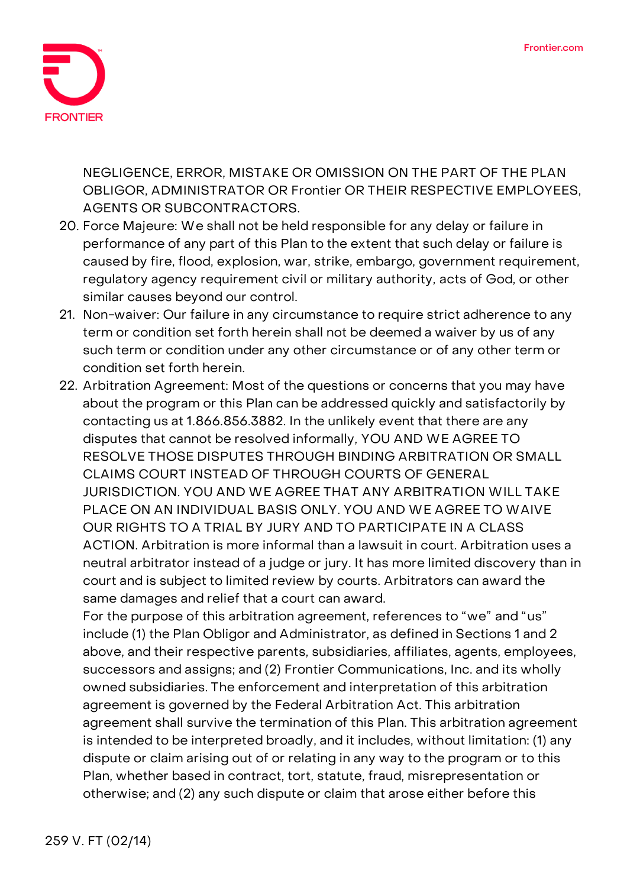

NEGLIGENCE, ERROR, MISTAKE OR OMISSION ON THE PART OF THE PLAN OBLIGOR, ADMINISTRATOR OR Frontier OR THEIR RESPECTIVE EMPLOYEES, AGENTS OR SUBCONTRACTORS.

- 20. **Force Majeure:** We shall not be held responsible for any delay or failure in performance of any part of this Plan to the extent that such delay or failure is caused by fire, flood, explosion, war, strike, embargo, government requirement, regulatory agency requirement civil or military authority, acts of God, or other similar causes beyond our control.
- 21. **Non-waiver:** Our failure in any circumstance to require strict adherence to any term or condition set forth herein shall not be deemed a waiver by us of any such term or condition under any other circumstance or of any other term or condition set forth herein.
- 22. **Arbitration Agreement:** Most of the questions or concerns that you may have about the program or this Plan can be addressed quickly and satisfactorily by contacting us at 1.866.856.3882. In the unlikely event that there are any disputes that cannot be resolved informally, **YOU AND WE AGREE TO RESOLVE THOSE DISPUTES THROUGH BINDING ARBITRATION OR SMALL CLAIMS COURT INSTEAD OF THROUGH COURTS OF GENERAL JURISDICTION. YOU AND WE AGREE THAT ANY ARBITRATION WILL TAKE PLACE ON AN INDIVIDUAL BASIS ONLY. YOU AND WE AGREE TO WAIVE OUR RIGHTS TO A TRIAL BY JURY AND TO PARTICIPATE IN A CLASS ACTION.** Arbitration is more informal than a lawsuit in court. Arbitration uses a neutral arbitrator instead of a judge or jury. It has more limited discovery than in court and is subject to limited review by courts. Arbitrators can award the same damages and relief that a court can award.

For the purpose of this arbitration agreement, references to "we" and "us" include (1) the Plan Obligor and Administrator, as defined in Sections 1 and 2 above, and their respective parents, subsidiaries, affiliates, agents, employees, successors and assigns; and (2) Frontier Communications, Inc. and its wholly owned subsidiaries. The enforcement and interpretation of this arbitration agreement is governed by the Federal Arbitration Act. This arbitration agreement shall survive the termination of this Plan. This arbitration agreement is intended to be interpreted broadly, and it includes, without limitation: (1) any dispute or claim arising out of or relating in any way to the program or to this Plan, whether based in contract, tort, statute, fraud, misrepresentation or otherwise; and (2) any such dispute or claim that arose either before this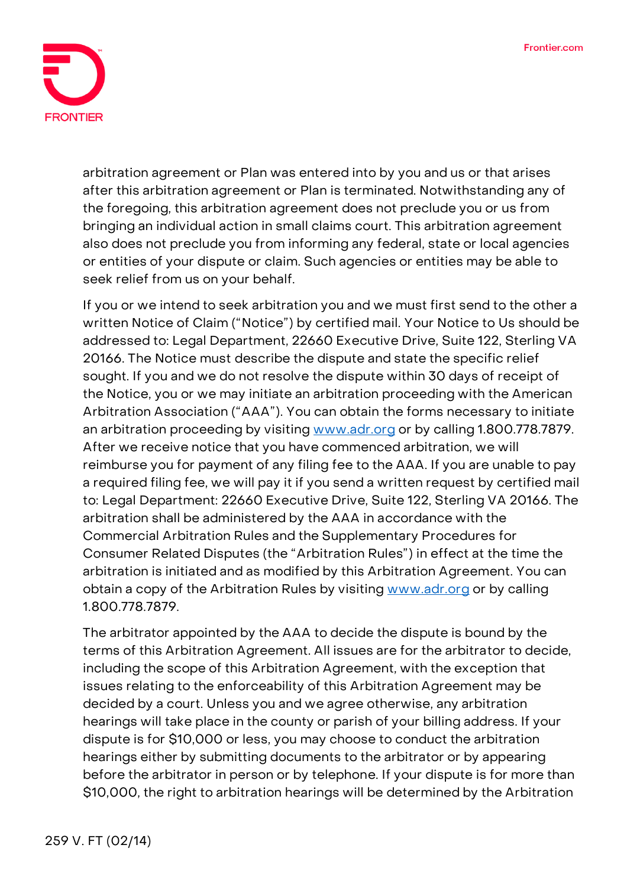

arbitration agreement or Plan was entered into by you and us or that arises after this arbitration agreement or Plan is terminated. Notwithstanding any of the foregoing, this arbitration agreement does not preclude you or us from bringing an individual action in small claims court. This arbitration agreement also does not preclude you from informing any federal, state or local agencies or entities of your dispute or claim. Such agencies or entities may be able to seek relief from us on your behalf.

If you or we intend to seek arbitration you and we must first send to the other a written Notice of Claim ("Notice") by certified mail. Your Notice to Us should be addressed to: Legal Department, 22660 Executive Drive, Suite 122, Sterling VA 20166. The Notice must describe the dispute and state the specific relief sought. If you and we do not resolve the dispute within 30 days of receipt of the Notice, you or we may initiate an arbitration proceeding with the American Arbitration Association ("AAA"). You can obtain the forms necessary to initiate an arbitration proceeding by visiting [www.adr.org](http://www.adr.org/) or by calling 1.800.778.7879. After we receive notice that you have commenced arbitration, we will reimburse you for payment of any filing fee to the AAA. If you are unable to pay a required filing fee, we will pay it if you send a written request by certified mail to: Legal Department: 22660 Executive Drive, Suite 122, Sterling VA 20166. The arbitration shall be administered by the AAA in accordance with the Commercial Arbitration Rules and the Supplementary Procedures for Consumer Related Disputes (the "Arbitration Rules") in effect at the time the arbitration is initiated and as modified by this Arbitration Agreement. You can obtain a copy of the Arbitration Rules by visiting [www.adr.org](http://www.adr.org/) or by calling 1.800.778.7879.

The arbitrator appointed by the AAA to decide the dispute is bound by the terms of this Arbitration Agreement. All issues are for the arbitrator to decide, including the scope of this Arbitration Agreement, with the exception that issues relating to the enforceability of this Arbitration Agreement may be decided by a court. Unless you and we agree otherwise, any arbitration hearings will take place in the county or parish of your billing address. If your dispute is for \$10,000 or less, you may choose to conduct the arbitration hearings either by submitting documents to the arbitrator or by appearing before the arbitrator in person or by telephone. If your dispute is for more than \$10,000, the right to arbitration hearings will be determined by the Arbitration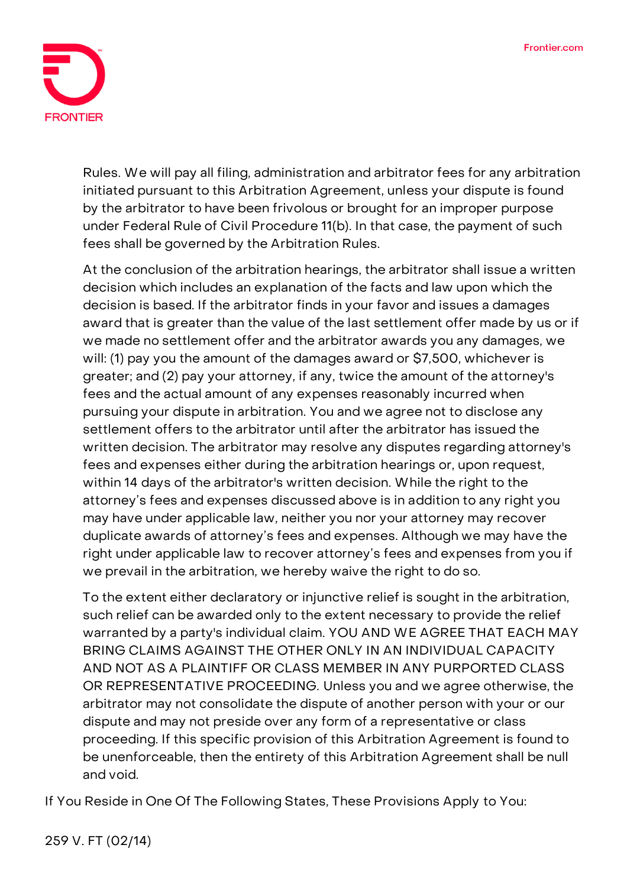

Rules. We will pay all filing, administration and arbitrator fees for any arbitration initiated pursuant to this Arbitration Agreement, unless your dispute is found by the arbitrator to have been frivolous or brought for an improper purpose under Federal Rule of Civil Procedure 11(b). In that case, the payment of such fees shall be governed by the Arbitration Rules.

At the conclusion of the arbitration hearings, the arbitrator shall issue a written decision which includes an explanation of the facts and law upon which the decision is based. If the arbitrator finds in your favor and issues a damages award that is greater than the value of the last settlement offer made by us or if we made no settlement offer and the arbitrator awards you any damages, we will: (1) pay you the amount of the damages award or \$7,500, whichever is greater; and (2) pay your attorney, if any, twice the amount of the attorney's fees and the actual amount of any expenses reasonably incurred when pursuing your dispute in arbitration. You and we agree not to disclose any settlement offers to the arbitrator until after the arbitrator has issued the written decision. The arbitrator may resolve any disputes regarding attorney's fees and expenses either during the arbitration hearings or, upon request, within 14 days of the arbitrator's written decision. While the right to the attorney's fees and expenses discussed above is in addition to any right you may have under applicable law, neither you nor your attorney may recover duplicate awards of attorney's fees and expenses. Although we may have the right under applicable law to recover attorney's fees and expenses from you if we prevail in the arbitration, we hereby waive the right to do so.

To the extent either declaratory or injunctive relief is sought in the arbitration, such relief can be awarded only to the extent necessary to provide the relief warranted by a party's individual claim. **YOU AND WE AGREE THAT EACH MAY BRING CLAIMS AGAINST THE OTHER ONLY IN AN INDIVIDUAL CAPACITY AND NOT AS A PLAINTIFF OR CLASS MEMBER IN ANY PURPORTED CLASS OR REPRESENTATIVE PROCEEDING.** Unless you and we agree otherwise, the arbitrator may not consolidate the dispute of another person with your or our dispute and may not preside over any form of a representative or class proceeding. If this specific provision of this Arbitration Agreement is found to be unenforceable, then the entirety of this Arbitration Agreement shall be null and void.

**If You Reside in One Of The Following States, These Provisions Apply to You:**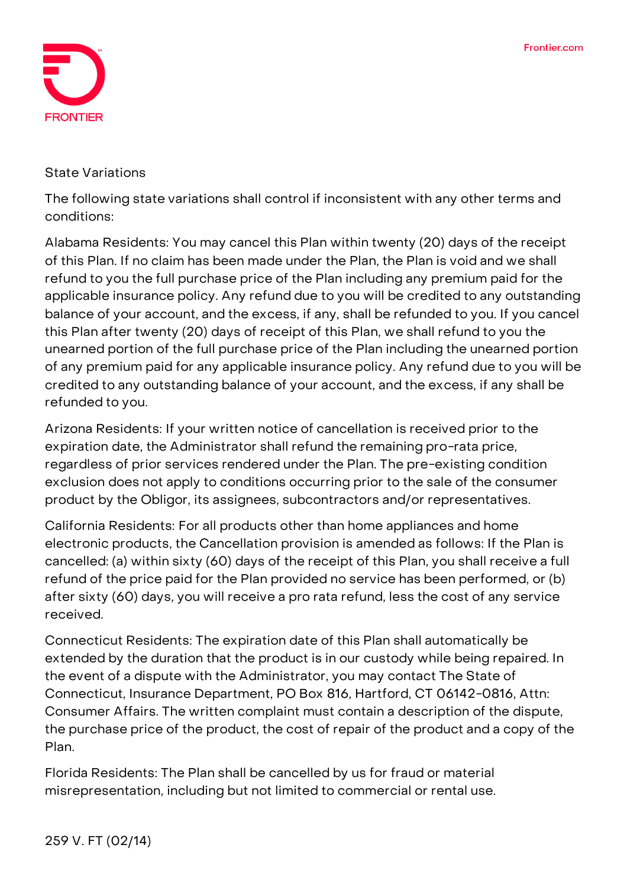

## **State Variations**

The following state variations shall control if inconsistent with any other terms and conditions:

**Alabama Residents:** You may cancel this Plan within twenty (20) days of the receipt of this Plan. If no claim has been made under the Plan, the Plan is void and we shall refund to you the full purchase price of the Plan including any premium paid for the applicable insurance policy. Any refund due to you will be credited to any outstanding balance of your account, and the excess, if any, shall be refunded to you. If you cancel this Plan after twenty (20) days of receipt of this Plan, we shall refund to you the unearned portion of the full purchase price of the Plan including the unearned portion of any premium paid for any applicable insurance policy. Any refund due to you will be credited to any outstanding balance of your account, and the excess, if any shall be refunded to you.

**Arizona Residents:** If your written notice of cancellation is received prior to the expiration date, the Administrator shall refund the remaining pro-rata price, regardless of prior services rendered under the Plan. The pre-existing condition exclusion does not apply to conditions occurring prior to the sale of the consumer product by the Obligor, its assignees, subcontractors and/or representatives.

**California Residents:** For all products other than home appliances and home electronic products, the Cancellation provision is amended as follows: If the Plan is cancelled: (a) within sixty (60) days of the receipt of this Plan, you shall receive a full refund of the price paid for the Plan provided no service has been performed, or (b) after sixty (60) days, you will receive a pro rata refund, less the cost of any service received.

**Connecticut Residents:** The expiration date of this Plan shall automatically be extended by the duration that the product is in our custody while being repaired. In the event of a dispute with the Administrator, you may contact The State of Connecticut, Insurance Department, PO Box 816, Hartford, CT 06142-0816, Attn: Consumer Affairs. The written complaint must contain a description of the dispute, the purchase price of the product, the cost of repair of the product and a copy of the Plan.

**Florida Residents:** The Plan shall be cancelled by us for fraud or material misrepresentation, including but not limited to commercial or rental use.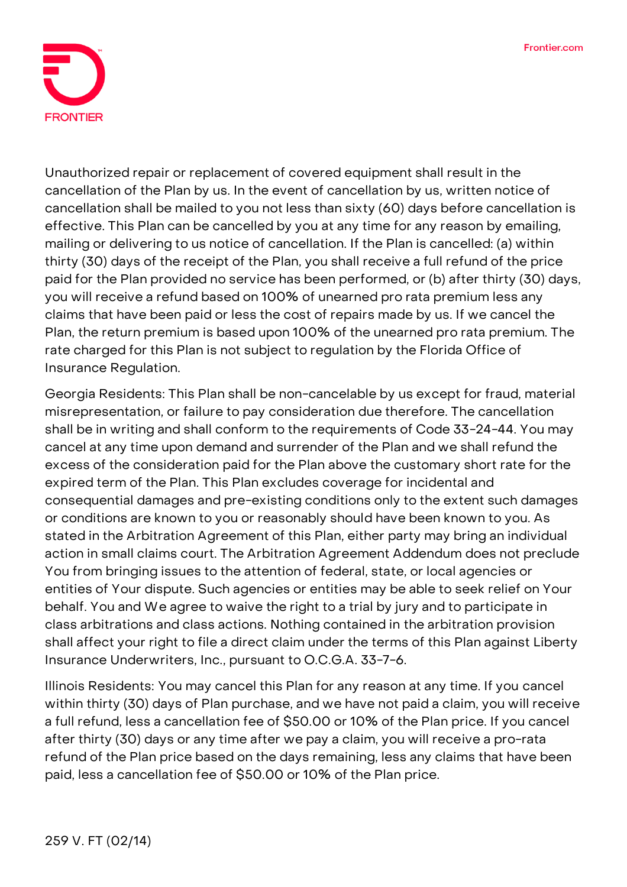

Unauthorized repair or replacement of covered equipment shall result in the cancellation of the Plan by us. In the event of cancellation by us, written notice of cancellation shall be mailed to you not less than sixty (60) days before cancellation is effective. This Plan can be cancelled by you at any time for any reason by emailing, mailing or delivering to us notice of cancellation. If the Plan is cancelled: (a) within thirty (30) days of the receipt of the Plan, you shall receive a full refund of the price paid for the Plan provided no service has been performed, or (b) after thirty (30) days, you will receive a refund based on 100% of unearned pro rata premium less any claims that have been paid or less the cost of repairs made by us. If we cancel the Plan, the return premium is based upon 100% of the unearned pro rata premium. The rate charged for this Plan is not subject to regulation by the Florida Office of Insurance Regulation.

**Georgia Residents:** This Plan shall be non-cancelable by us except for fraud, material misrepresentation, or failure to pay consideration due therefore. The cancellation shall be in writing and shall conform to the requirements of Code 33-24-44. You may cancel at any time upon demand and surrender of the Plan and we shall refund the excess of the consideration paid for the Plan above the customary short rate for the expired term of the Plan. This Plan excludes coverage for incidental and consequential damages and pre-existing conditions only to the extent such damages or conditions are known to you or reasonably should have been known to you. As stated in the Arbitration Agreement of this Plan, either party may bring an individual action in small claims court. The Arbitration Agreement Addendum does not preclude You from bringing issues to the attention of federal, state, or local agencies or entities of Your dispute. Such agencies or entities may be able to seek relief on Your behalf. You and We agree to waive the right to a trial by jury and to participate in class arbitrations and class actions. Nothing contained in the arbitration provision shall affect your right to file a direct claim under the terms of this Plan against Liberty Insurance Underwriters, Inc., pursuant to O.C.G.A. 33-7-6.

**Illinois Residents:** You may cancel this Plan for any reason at any time. If you cancel within thirty (30) days of Plan purchase, and we have not paid a claim, you will receive a full refund, less a cancellation fee of \$50.00 or 10% of the Plan price. If you cancel after thirty (30) days or any time after we pay a claim, you will receive a pro-rata refund of the Plan price based on the days remaining, less any claims that have been paid, less a cancellation fee of \$50.00 or 10% of the Plan price.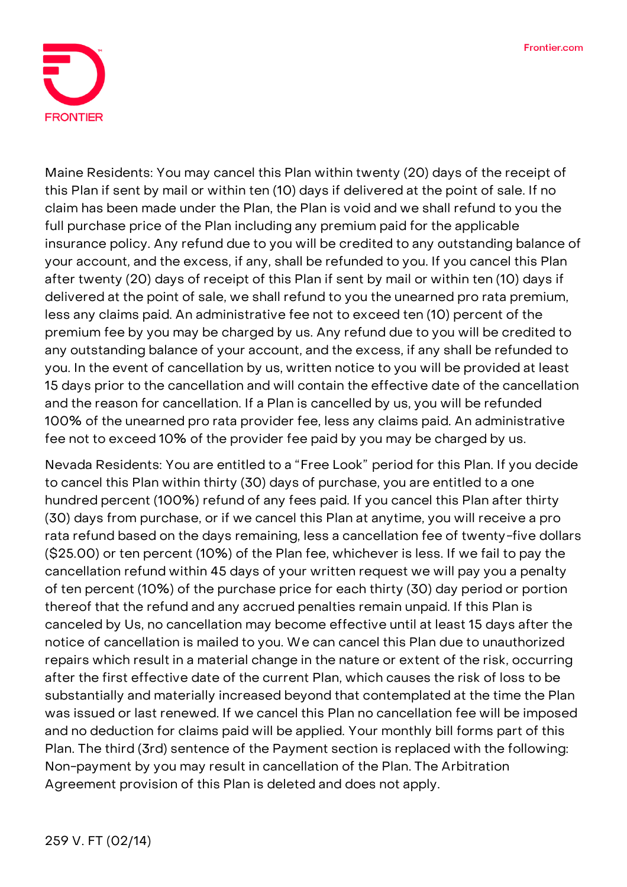

**Maine Residents:** You may cancel this Plan within twenty (20) days of the receipt of this Plan if sent by mail or within ten (10) days if delivered at the point of sale. If no claim has been made under the Plan, the Plan is void and we shall refund to you the full purchase price of the Plan including any premium paid for the applicable insurance policy. Any refund due to you will be credited to any outstanding balance of your account, and the excess, if any, shall be refunded to you. If you cancel this Plan after twenty (20) days of receipt of this Plan if sent by mail or within ten (10) days if delivered at the point of sale, we shall refund to you the unearned pro rata premium, less any claims paid. An administrative fee not to exceed ten (10) percent of the premium fee by you may be charged by us. Any refund due to you will be credited to any outstanding balance of your account, and the excess, if any shall be refunded to you. In the event of cancellation by us, written notice to you will be provided at least 15 days prior to the cancellation and will contain the effective date of the cancellation and the reason for cancellation. If a Plan is cancelled by us, you will be refunded 100% of the unearned pro rata provider fee, less any claims paid. An administrative fee not to exceed 10% of the provider fee paid by you may be charged by us.

**Nevada Residents:** You are entitled to a "Free Look" period for this Plan. If you decide to cancel this Plan within thirty (30) days of purchase, you are entitled to a one hundred percent (100%) refund of any fees paid. If you cancel this Plan after thirty (30) days from purchase, or if we cancel this Plan at anytime, you will receive a pro rata refund based on the days remaining, less a cancellation fee of twenty-five dollars (\$25.00) or ten percent (10%) of the Plan fee, whichever is less. If we fail to pay the cancellation refund within 45 days of your written request we will pay you a penalty of ten percent (10%) of the purchase price for each thirty (30) day period or portion thereof that the refund and any accrued penalties remain unpaid. If this Plan is canceled by Us, no cancellation may become effective until at least 15 days after the notice of cancellation is mailed to you. We can cancel this Plan due to unauthorized repairs which result in a material change in the nature or extent of the risk, occurring after the first effective date of the current Plan, which causes the risk of loss to be substantially and materially increased beyond that contemplated at the time the Plan was issued or last renewed. If we cancel this Plan no cancellation fee will be imposed and no deduction for claims paid will be applied. Your monthly bill forms part of this Plan. The third (3rd) sentence of the Payment section is replaced with the following: Non-payment by you may result in cancellation of the Plan. The Arbitration Agreement provision of this Plan is deleted and does not apply.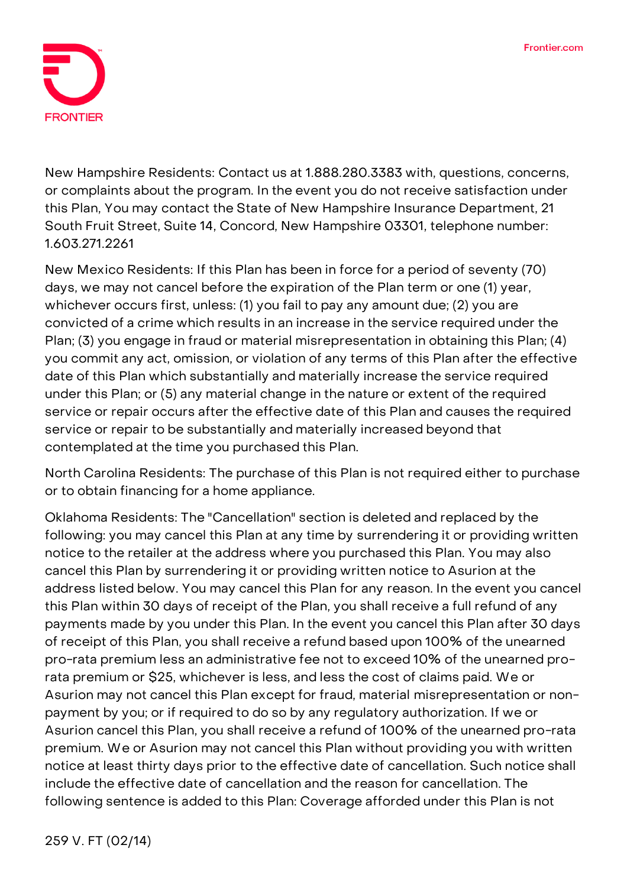

**New Hampshire Residents:** Contact us at 1.888.280.3383 with, questions, concerns, or complaints about the program. In the event you do not receive satisfaction under this Plan, You may contact the State of New Hampshire Insurance Department, 21 South Fruit Street, Suite 14, Concord, New Hampshire 03301, telephone number: 1.603.271.2261

**New Mexico Residents:** If this Plan has been in force for a period of seventy (70) days, we may not cancel before the expiration of the Plan term or one (1) year, whichever occurs first, unless: (1) you fail to pay any amount due; (2) you are convicted of a crime which results in an increase in the service required under the Plan; (3) you engage in fraud or material misrepresentation in obtaining this Plan; (4) you commit any act, omission, or violation of any terms of this Plan after the effective date of this Plan which substantially and materially increase the service required under this Plan; or (5) any material change in the nature or extent of the required service or repair occurs after the effective date of this Plan and causes the required service or repair to be substantially and materially increased beyond that contemplated at the time you purchased this Plan.

**North Carolina Residents:** The purchase of this Plan is not required either to purchase or to obtain financing for a home appliance.

**Oklahoma Residents:** The "Cancellation" section is deleted and replaced by the following: you may cancel this Plan at any time by surrendering it or providing written notice to the retailer at the address where you purchased this Plan. You may also cancel this Plan by surrendering it or providing written notice to Asurion at the address listed below. You may cancel this Plan for any reason. In the event you cancel this Plan within 30 days of receipt of the Plan, you shall receive a full refund of any payments made by you under this Plan. In the event you cancel this Plan after 30 days of receipt of this Plan, you shall receive a refund based upon 100% of the unearned pro-rata premium less an administrative fee not to exceed 10% of the unearned prorata premium or \$25, whichever is less, and less the cost of claims paid. We or Asurion may not cancel this Plan except for fraud, material misrepresentation or nonpayment by you; or if required to do so by any regulatory authorization. If we or Asurion cancel this Plan, you shall receive a refund of 100% of the unearned pro-rata premium. We or Asurion may not cancel this Plan without providing you with written notice at least thirty days prior to the effective date of cancellation. Such notice shall include the effective date of cancellation and the reason for cancellation. The following sentence is added to this Plan: Coverage afforded under this Plan is not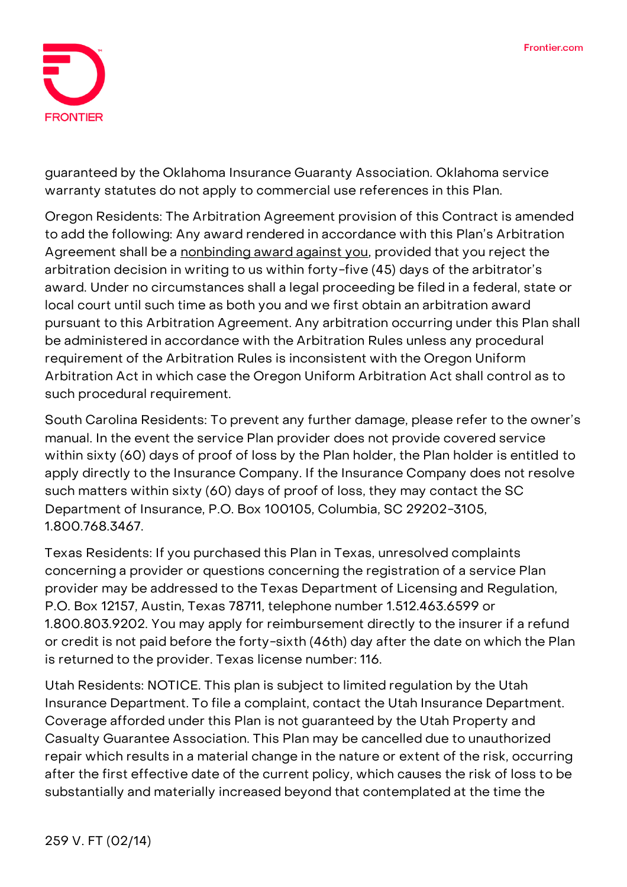

guaranteed by the Oklahoma Insurance Guaranty Association. Oklahoma service warranty statutes do not apply to commercial use references in this Plan.

**Oregon Residents:** The Arbitration Agreement provision of this Contract is amended to add the following: **Any award rendered in accordance with this Plan's Arbitration Agreement shall be a nonbinding award against you**, provided that you reject the arbitration decision in writing to us within forty-five (45) days of the arbitrator's award. Under no circumstances shall a legal proceeding be filed in a federal, state or local court until such time as both you and we first obtain an arbitration award pursuant to this Arbitration Agreement. Any arbitration occurring under this Plan shall be administered in accordance with the Arbitration Rules unless any procedural requirement of the Arbitration Rules is inconsistent with the Oregon Uniform Arbitration Act in which case the Oregon Uniform Arbitration Act shall control as to such procedural requirement.

**South Carolina Residents:** To prevent any further damage, please refer to the owner's manual. In the event the service Plan provider does not provide covered service within sixty (60) days of proof of loss by the Plan holder, the Plan holder is entitled to apply directly to the Insurance Company. If the Insurance Company does not resolve such matters within sixty (60) days of proof of loss, they may contact the SC Department of Insurance, P.O. Box 100105, Columbia, SC 29202-3105, 1.800.768.3467.

**Texas Residents:** If you purchased this Plan in Texas, unresolved complaints concerning a provider or questions concerning the registration of a service Plan provider may be addressed to the Texas Department of Licensing and Regulation, P.O. Box 12157, Austin, Texas 78711, telephone number 1.512.463.6599 or 1.800.803.9202. You may apply for reimbursement directly to the insurer if a refund or credit is not paid before the forty-sixth (46th) day after the date on which the Plan is returned to the provider. Texas license number: 116.

**Utah Residents: NOTICE. This plan is subject to limited regulation by the Utah Insurance Department. To file a complaint, contact the Utah Insurance Department.** Coverage afforded under this Plan is not guaranteed by the Utah Property and Casualty Guarantee Association. This Plan may be cancelled due to unauthorized repair which results in a material change in the nature or extent of the risk, occurring after the first effective date of the current policy, which causes the risk of loss to be substantially and materially increased beyond that contemplated at the time the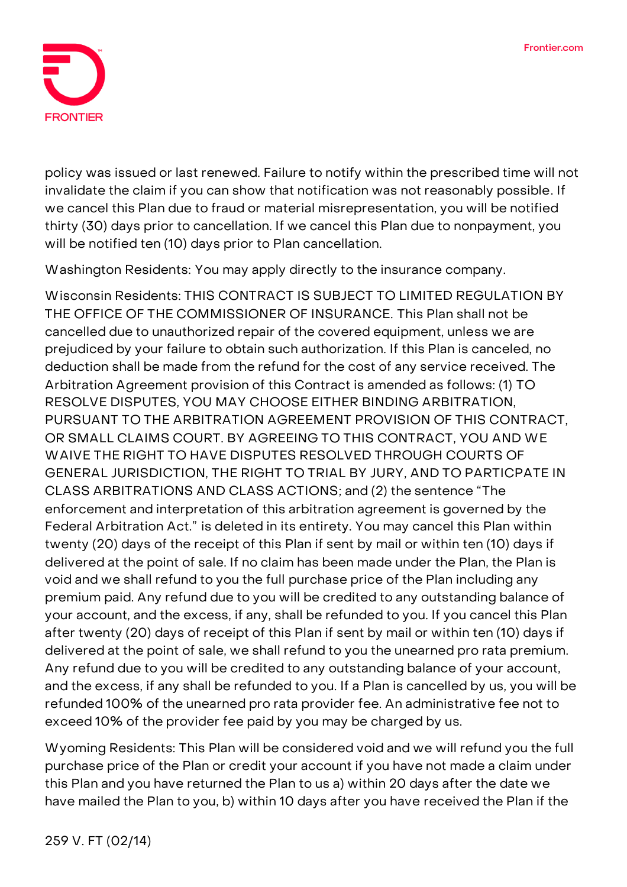

policy was issued or last renewed. Failure to notify within the prescribed time will not invalidate the claim if you can show that notification was not reasonably possible. If we cancel this Plan due to fraud or material misrepresentation, you will be notified thirty (30) days prior to cancellation. If we cancel this Plan due to nonpayment, you will be notified ten (10) days prior to Plan cancellation.

**Washington Residents:** You may apply directly to the insurance company.

**Wisconsin Residents: THIS CONTRACT IS SUBJECT TO LIMITED REGULATION BY THE OFFICE OF THE COMMISSIONER OF INSURANCE.** This Plan shall not be cancelled due to unauthorized repair of the covered equipment, unless we are prejudiced by your failure to obtain such authorization. If this Plan is canceled, no deduction shall be made from the refund for the cost of any service received. The Arbitration Agreement provision of this Contract is amended as follows: (1) **TO RESOLVE DISPUTES, YOU MAY CHOOSE EITHER BINDING ARBITRATION, PURSUANT TO THE ARBITRATION AGREEMENT PROVISION OF THIS CONTRACT, OR SMALL CLAIMS COURT. BY AGREEING TO THIS CONTRACT, YOU AND WE WAIVE THE RIGHT TO HAVE DISPUTES RESOLVED THROUGH COURTS OF GENERAL JURISDICTION, THE RIGHT TO TRIAL BY JURY, AND TO PARTICPATE IN CLASS ARBITRATIONS AND CLASS ACTIONS**; and (2) the sentence "The enforcement and interpretation of this arbitration agreement is governed by the Federal Arbitration Act." is deleted in its entirety. You may cancel this Plan within twenty (20) days of the receipt of this Plan if sent by mail or within ten (10) days if delivered at the point of sale. If no claim has been made under the Plan, the Plan is void and we shall refund to you the full purchase price of the Plan including any premium paid. Any refund due to you will be credited to any outstanding balance of your account, and the excess, if any, shall be refunded to you. If you cancel this Plan after twenty (20) days of receipt of this Plan if sent by mail or within ten (10) days if delivered at the point of sale, we shall refund to you the unearned pro rata premium. Any refund due to you will be credited to any outstanding balance of your account, and the excess, if any shall be refunded to you. If a Plan is cancelled by us, you will be refunded 100% of the unearned pro rata provider fee. An administrative fee not to exceed 10% of the provider fee paid by you may be charged by us.

**Wyoming Residents:** This Plan will be considered void and we will refund you the full purchase price of the Plan or credit your account if you have not made a claim under this Plan and you have returned the Plan to us a) within 20 days after the date we have mailed the Plan to you, b) within 10 days after you have received the Plan if the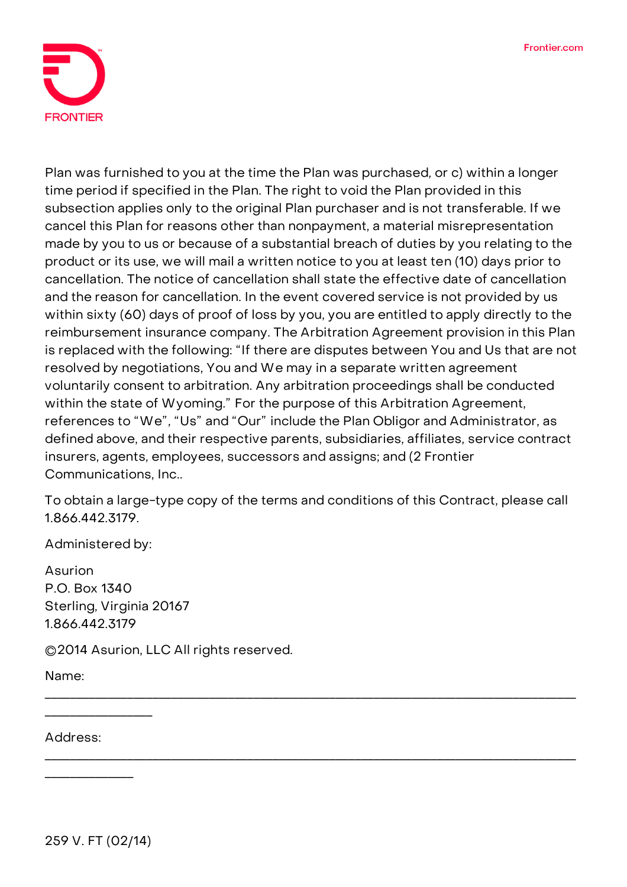

Plan was furnished to you at the time the Plan was purchased, or c) within a longer time period if specified in the Plan. The right to void the Plan provided in this subsection applies only to the original Plan purchaser and is not transferable. If we cancel this Plan for reasons other than nonpayment, a material misrepresentation made by you to us or because of a substantial breach of duties by you relating to the product or its use, we will mail a written notice to you at least ten (10) days prior to cancellation. The notice of cancellation shall state the effective date of cancellation and the reason for cancellation. In the event covered service is not provided by us within sixty (60) days of proof of loss by you, you are entitled to apply directly to the reimbursement insurance company. The Arbitration Agreement provision in this Plan is replaced with the following: "If there are disputes between You and Us that are not resolved by negotiations, You and We may in a separate written agreement voluntarily consent to arbitration. Any arbitration proceedings shall be conducted within the state of Wyoming." For the purpose of this Arbitration Agreement, references to "We", "Us" and "Our" include the Plan Obligor and Administrator, as defined above, and their respective parents, subsidiaries, affiliates, service contract insurers, agents, employees, successors and assigns; and (2 Frontier Communications, Inc..

**To obtain a large-type copy of the terms and conditions of this Contract, please call 1.866.442.3179.**

\_\_\_\_\_\_\_\_\_\_\_\_\_\_\_\_\_\_\_\_\_\_\_\_\_\_\_\_\_\_\_\_\_\_\_\_\_\_\_\_\_\_\_\_\_\_\_\_\_\_\_\_\_\_\_\_\_\_\_\_\_\_\_\_\_\_\_\_\_\_\_\_\_\_\_\_\_\_\_\_\_\_\_\_

\_\_\_\_\_\_\_\_\_\_\_\_\_\_\_\_\_\_\_\_\_\_\_\_\_\_\_\_\_\_\_\_\_\_\_\_\_\_\_\_\_\_\_\_\_\_\_\_\_\_\_\_\_\_\_\_\_\_\_\_\_\_\_\_\_\_\_\_\_\_\_\_\_\_\_\_\_\_\_\_\_\_\_\_

Administered by:

Asurion P.O. Box 1340 Sterling, Virginia 20167 1.866.442.3179

©2014 Asurion, LLC All rights reserved.

Name:

Address:

\_\_\_\_\_\_\_\_\_\_\_\_\_\_\_\_\_

\_\_\_\_\_\_\_\_\_\_\_\_\_\_